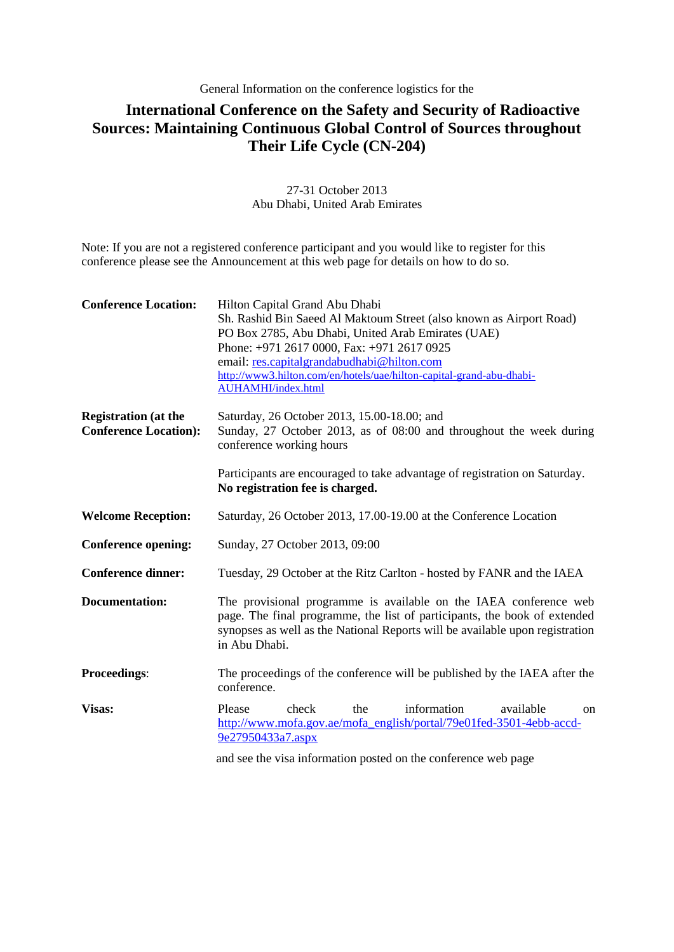## General Information on the conference logistics for the

## **International Conference on the Safety and Security of Radioactive Sources: Maintaining Continuous Global Control of Sources throughout Their Life Cycle (CN-204)**

27-31 October 2013 Abu Dhabi, United Arab Emirates

Note: If you are not a registered conference participant and you would like to register for this conference please see the Announcement at this web page for details on how to do so.

| <b>Conference Location:</b>                                 | Hilton Capital Grand Abu Dhabi<br>Sh. Rashid Bin Saeed Al Maktoum Street (also known as Airport Road)<br>PO Box 2785, Abu Dhabi, United Arab Emirates (UAE)<br>Phone: +971 2617 0000, Fax: +971 2617 0925<br>email: res.capitalgrandabudhabi@hilton.com<br>http://www3.hilton.com/en/hotels/uae/hilton-capital-grand-abu-dhabi-<br><b>AUHAMHI/index.html</b> |  |
|-------------------------------------------------------------|--------------------------------------------------------------------------------------------------------------------------------------------------------------------------------------------------------------------------------------------------------------------------------------------------------------------------------------------------------------|--|
| <b>Registration</b> (at the<br><b>Conference Location):</b> | Saturday, 26 October 2013, 15.00-18.00; and<br>Sunday, 27 October 2013, as of 08:00 and throughout the week during<br>conference working hours                                                                                                                                                                                                               |  |
|                                                             | Participants are encouraged to take advantage of registration on Saturday.<br>No registration fee is charged.                                                                                                                                                                                                                                                |  |
| <b>Welcome Reception:</b>                                   | Saturday, 26 October 2013, 17.00-19.00 at the Conference Location                                                                                                                                                                                                                                                                                            |  |
| <b>Conference opening:</b>                                  | Sunday, 27 October 2013, 09:00                                                                                                                                                                                                                                                                                                                               |  |
| <b>Conference dinner:</b>                                   | Tuesday, 29 October at the Ritz Carlton - hosted by FANR and the IAEA                                                                                                                                                                                                                                                                                        |  |
| <b>Documentation:</b>                                       | The provisional programme is available on the IAEA conference web<br>page. The final programme, the list of participants, the book of extended<br>synopses as well as the National Reports will be available upon registration<br>in Abu Dhabi.                                                                                                              |  |
| <b>Proceedings:</b>                                         | The proceedings of the conference will be published by the IAEA after the<br>conference.                                                                                                                                                                                                                                                                     |  |
| Visas:                                                      | check<br>information<br>available<br>Please<br>the<br><sub>on</sub><br>http://www.mofa.gov.ae/mofa_english/portal/79e01fed-3501-4ebb-accd-<br>9e27950433a7.aspx                                                                                                                                                                                              |  |
|                                                             | and see the visa information posted on the conference web page                                                                                                                                                                                                                                                                                               |  |